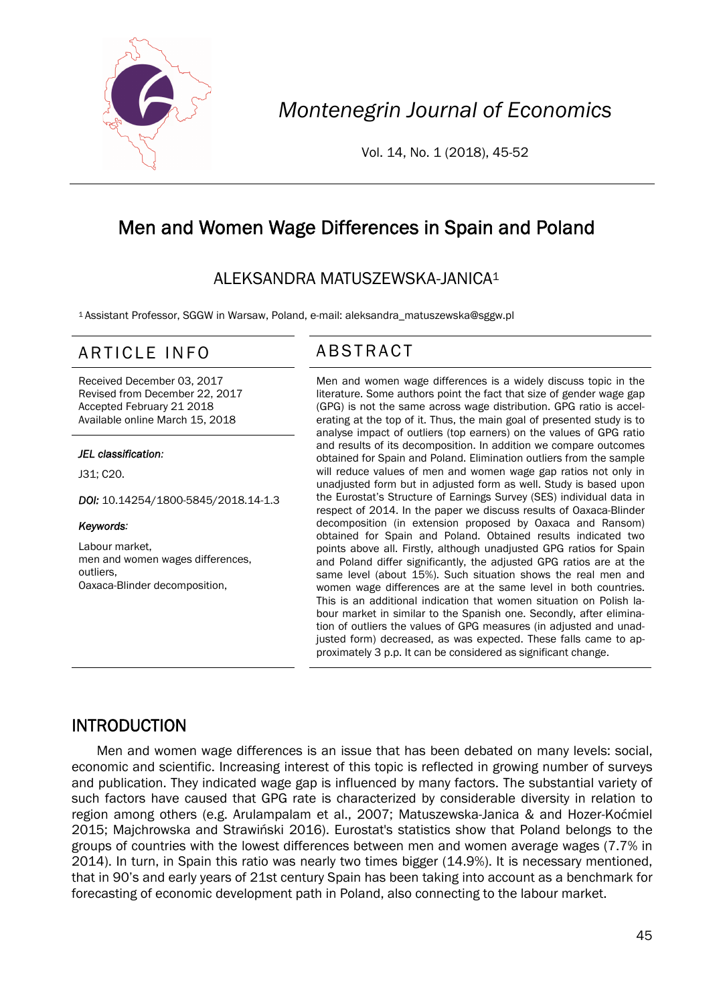

*Montenegrin Journal of Economics* 

Vol. 14, No. 1 (2018), 45-52

# Men and Women Wage Differences in Spain and Poland

## ALEKSANDRA MATUSZEWSKA-JANICA1

1 Assistant Professor, SGGW in Warsaw, Poland, e-mail: aleksandra\_matuszewska@sggw.pl

## ARTICLE INFO ABSTRACT

Received December 03, 2017 Revised from December 22, 2017 Accepted February 21 2018 Available online March 15, 2018

#### *JEL classification:*

J31; C20.

*DOI:* 10.14254/1800-5845/2018.14-1.3

#### *Keywords:*

Labour market, men and women wages differences, outliers, Oaxaca-Blinder decomposition,

 Men and women wage differences is a widely discuss topic in the literature. Some authors point the fact that size of gender wage gap (GPG) is not the same across wage distribution. GPG ratio is accelerating at the top of it. Thus, the main goal of presented study is to analyse impact of outliers (top earners) on the values of GPG ratio and results of its decomposition. In addition we compare outcomes obtained for Spain and Poland. Elimination outliers from the sample will reduce values of men and women wage gap ratios not only in unadjusted form but in adjusted form as well. Study is based upon the Eurostat's Structure of Earnings Survey (SES) individual data in respect of 2014. In the paper we discuss results of Oaxaca-Blinder decomposition (in extension proposed by Oaxaca and Ransom) obtained for Spain and Poland. Obtained results indicated two points above all. Firstly, although unadjusted GPG ratios for Spain and Poland differ significantly, the adjusted GPG ratios are at the same level (about 15%). Such situation shows the real men and women wage differences are at the same level in both countries. This is an additional indication that women situation on Polish labour market in similar to the Spanish one. Secondly, after elimination of outliers the values of GPG measures (in adjusted and unadjusted form) decreased, as was expected. These falls came to approximately 3 p.p. It can be considered as significant change.

#### INTRODUCTION

Men and women wage differences is an issue that has been debated on many levels: social, economic and scientific. Increasing interest of this topic is reflected in growing number of surveys and publication. They indicated wage gap is influenced by many factors. The substantial variety of such factors have caused that GPG rate is characterized by considerable diversity in relation to region among others (e.g. Arulampalam et al., 2007; Matuszewska-Janica & and Hozer-Koćmiel 2015; Majchrowska and Strawiński 2016). Eurostat's statistics show that Poland belongs to the groups of countries with the lowest differences between men and women average wages (7.7% in 2014). In turn, in Spain this ratio was nearly two times bigger (14.9%). It is necessary mentioned, that in 90's and early years of 21st century Spain has been taking into account as a benchmark for forecasting of economic development path in Poland, also connecting to the labour market.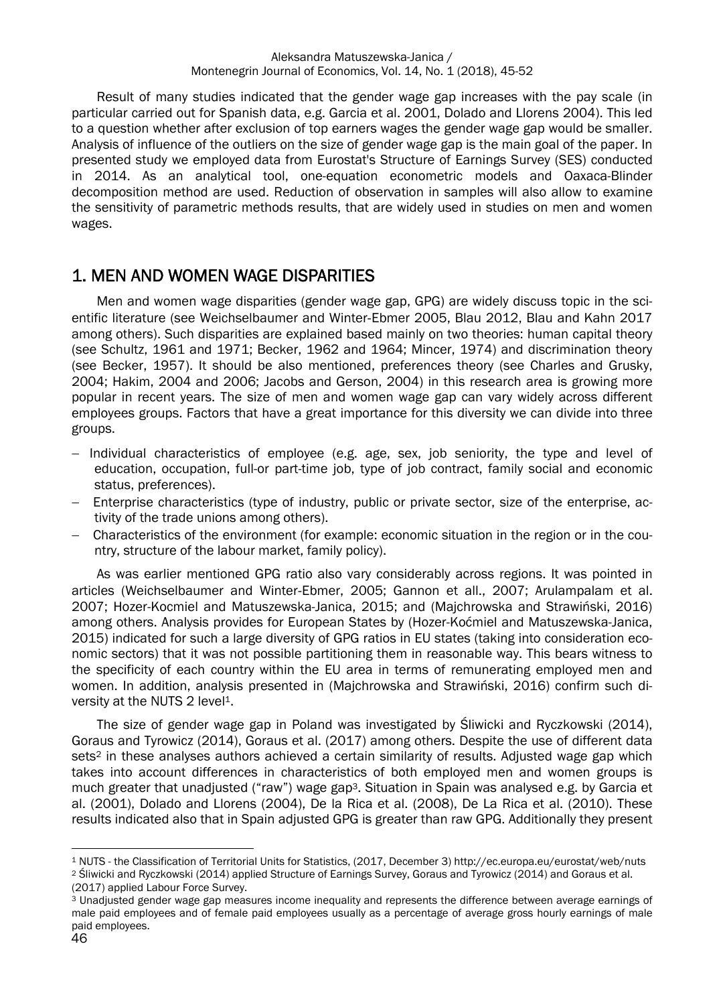Result of many studies indicated that the gender wage gap increases with the pay scale (in particular carried out for Spanish data, e.g. Garcia et al. 2001, Dolado and Llorens 2004). This led to a question whether after exclusion of top earners wages the gender wage gap would be smaller. Analysis of influence of the outliers on the size of gender wage gap is the main goal of the paper. In presented study we employed data from Eurostat's Structure of Earnings Survey (SES) conducted in 2014. As an analytical tool, one-equation econometric models and Oaxaca-Blinder decomposition method are used. Reduction of observation in samples will also allow to examine the sensitivity of parametric methods results, that are widely used in studies on men and women wages.

#### 1. MEN AND WOMEN WAGE DISPARITIES

Men and women wage disparities (gender wage gap, GPG) are widely discuss topic in the scientific literature (see Weichselbaumer and Winter‐Ebmer 2005, Blau 2012, Blau and Kahn 2017 among others). Such disparities are explained based mainly on two theories: human capital theory (see Schultz, 1961 and 1971; Becker, 1962 and 1964; Mincer, 1974) and discrimination theory (see Becker, 1957). It should be also mentioned,preferences theory (see Charles and Grusky, 2004; Hakim, 2004 and 2006; Jacobs and Gerson, 2004) in this research area is growing more popular in recent years. The size of men and women wage gap can vary widely across different employees groups. Factors that have a great importance for this diversity we can divide into three groups.

- Individual characteristics of employee (e.g. age, sex, job seniority, the type and level of education, occupation, full-or part-time job, type of job contract, family social and economic status, preferences).
- Enterprise characteristics (type of industry, public or private sector, size of the enterprise, activity of the trade unions among others).
- Characteristics of the environment (for example: economic situation in the region or in the country, structure of the labour market, family policy).

As was earlier mentioned GPG ratio also vary considerably across regions. It was pointed in articles (Weichselbaumer and Winter‐Ebmer, 2005; Gannon et all., 2007; Arulampalam et al. 2007; Hozer-Kocmiel and Matuszewska-Janica, 2015; and (Majchrowska and Strawiński, 2016) among others. Analysis provides for European States by (Hozer-Koćmiel and Matuszewska-Janica, 2015) indicated for such a large diversity of GPG ratios in EU states (taking into consideration economic sectors) that it was not possible partitioning them in reasonable way. This bears witness to the specificity of each country within the EU area in terms of remunerating employed men and women. In addition, analysis presented in (Majchrowska and Strawiński, 2016) confirm such diversity at the NUTS 2 level<sup>1</sup>.

The size of gender wage gap in Poland was investigated by Śliwicki and Ryczkowski (2014), Goraus and Tyrowicz (2014), Goraus et al. (2017) among others. Despite the use of different data sets<sup>2</sup> in these analyses authors achieved a certain similarity of results. Adjusted wage gap which takes into account differences in characteristics of both employed men and women groups is much greater that unadjusted ("raw") wage gap<sup>3</sup>. Situation in Spain was analysed e.g. by Garcia et al. (2001), Dolado and Llorens (2004), De la Rica et al. (2008), De La Rica et al. (2010). These results indicated also that in Spain adjusted GPG is greater than raw GPG. Additionally they present

 $\overline{a}$ <sup>1</sup> NUTS - the Classification of Territorial Units for Statistics, (2017, December 3) http://ec.europa.eu/eurostat/web/nuts <sup>2</sup> Sliwicki and Ryczkowski (2014) applied Structure of Earnings Survey. Goraus and Tyrowicz (2014

<sup>(2017)</sup> applied Labour Force Survey.

<sup>3</sup> Unadjusted gender wage gap measures income inequality and represents the difference between average earnings of male paid employees and of female paid employees usually as a percentage of average gross hourly earnings of male paid employees.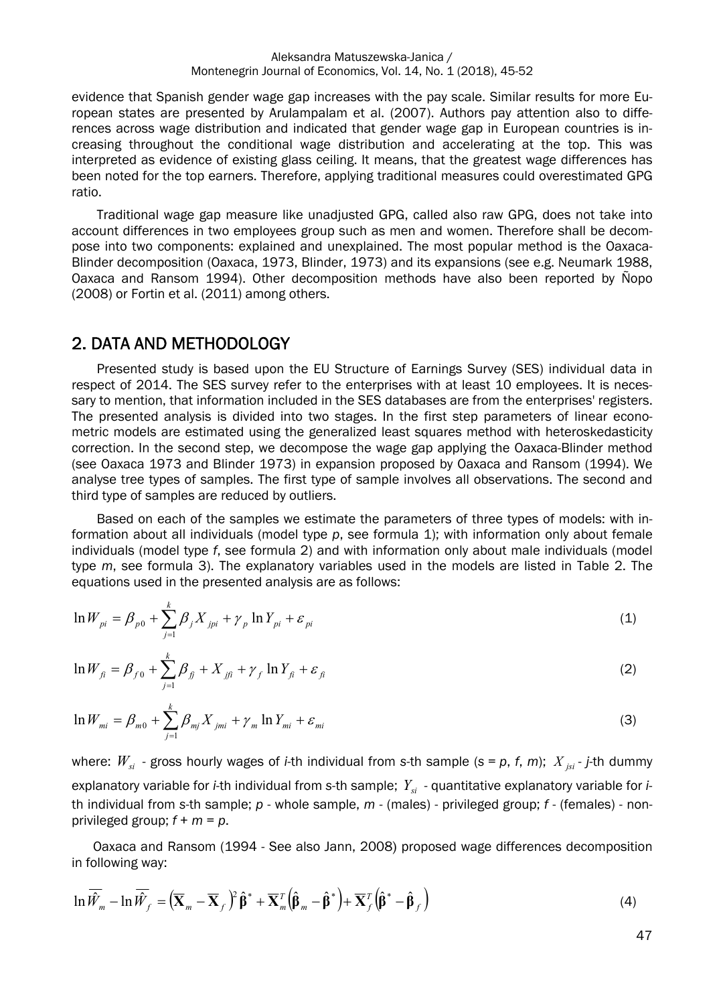evidence that Spanish gender wage gap increases with the pay scale. Similar results for more European states are presented by Arulampalam et al. (2007). Authors pay attention also to differences across wage distribution and indicated that gender wage gap in European countries is increasing throughout the conditional wage distribution and accelerating at the top. This was interpreted as evidence of existing glass ceiling. It means, that the greatest wage differences has been noted for the top earners. Therefore, applying traditional measures could overestimated GPG ratio.

Traditional wage gap measure like unadjusted GPG, called also raw GPG, does not take into account differences in two employees group such as men and women. Therefore shall be decompose into two components: explained and unexplained. The most popular method is the Oaxaca-Blinder decomposition (Oaxaca, 1973, Blinder, 1973) and its expansions (see e.g. Neumark 1988, Oaxaca and Ransom 1994). Other decomposition methods have also been reported by Ñopo (2008) or Fortin et al. (2011) among others.

#### 2. DATA AND METHODOLOGY

Presented study is based upon the EU Structure of Earnings Survey (SES) individual data in respect of 2014. The SES survey refer to the enterprises with at least 10 employees. It is necessary to mention, that information included in the SES databases are from the enterprises' registers. The presented analysis is divided into two stages. In the first step parameters of linear econometric models are estimated using the generalized least squares method with heteroskedasticity correction. In the second step, we decompose the wage gap applying the Oaxaca-Blinder method (see Oaxaca 1973 and Blinder 1973) in expansion proposed by Oaxaca and Ransom (1994). We analyse tree types of samples. The first type of sample involves all observations. The second and third type of samples are reduced by outliers.

Based on each of the samples we estimate the parameters of three types of models: with information about all individuals (model type *p*, see formula 1); with information only about female individuals (model type *f*, see formula 2) and with information only about male individuals (model type *m*, see formula 3). The explanatory variables used in the models are listed in Table 2. The equations used in the presented analysis are as follows:

$$
\ln W_{pi} = \beta_{p0} + \sum_{j=1}^{k} \beta_j X_{jpi} + \gamma_p \ln Y_{pi} + \varepsilon_{pi}
$$
\n(1)

$$
\ln W_{fi} = \beta_{f0} + \sum_{j=1}^{k} \beta_{fi} + X_{jfi} + \gamma_{f} \ln Y_{fi} + \varepsilon_{fi}
$$
 (2)

$$
\ln W_{mi} = \beta_{m0} + \sum_{j=1}^{k} \beta_{mj} X_{jmi} + \gamma_m \ln Y_{mi} + \varepsilon_{mi}
$$
\n(3)

where:  $W_{si}$  - gross hourly wages of *i*-th individual from s-th sample (s = p, f, m);  $X_{isi}$  - *j*-th dummy explanatory variable for *i*-th individual from s-th sample;  $Y_{si}$  - quantitative explanatory variable for *i*th individual from *s*-th sample; *p* - whole sample, *m* - (males) - privileged group; *f* - (females) - nonprivileged group; *f* + *m* = *p*.

Oaxaca and Ransom (1994 - See also Jann, 2008) proposed wage differences decomposition in following way:

$$
\ln \overline{\hat{W}}_m - \ln \overline{\hat{W}}_f = \left( \overline{\mathbf{X}}_m - \overline{\mathbf{X}}_f \right)^2 \hat{\boldsymbol{\beta}}^* + \overline{\mathbf{X}}_m^T \left( \hat{\boldsymbol{\beta}}_m - \hat{\boldsymbol{\beta}}^* \right) + \overline{\mathbf{X}}_f^T \left( \hat{\boldsymbol{\beta}}^* - \hat{\boldsymbol{\beta}}_f \right)
$$
(4)

47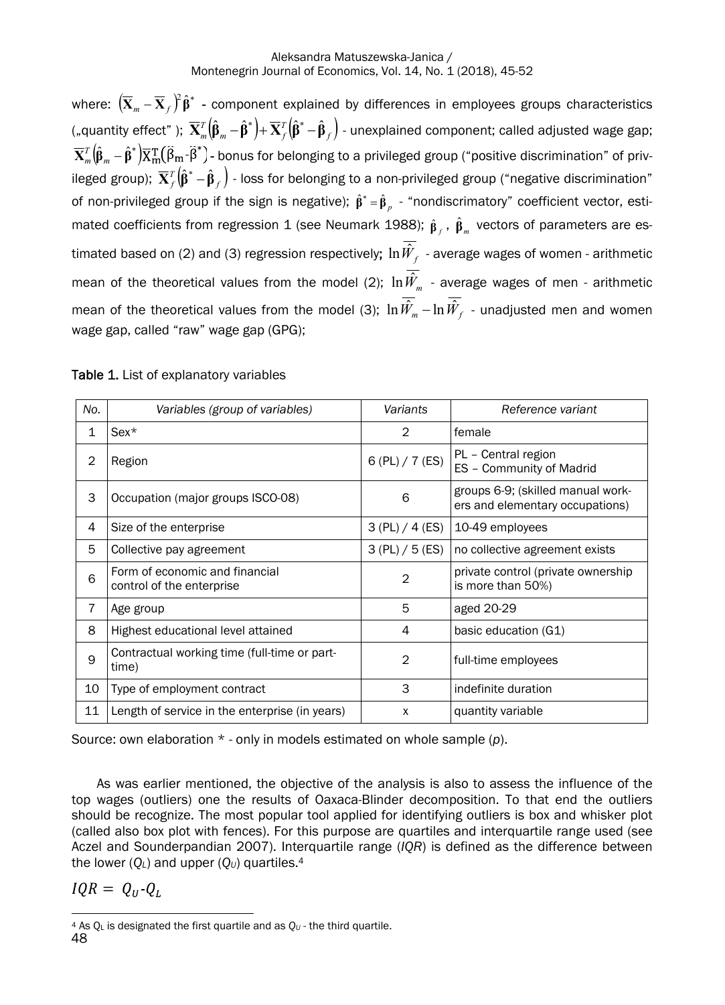where:  $(\bar{\mathbf{X}}_m - \bar{\mathbf{X}}_f)^2 \hat{\boldsymbol{\beta}}^*$  - component explained by differences in employees groups characteristics ("quantity effect" );  $\overline{\mathbf{X}}_m^T\big(\hat{\boldsymbol{{\beta}}}_m-\hat{\boldsymbol{{\beta}}}^*\big)+\overline{\mathbf{X}}_f^T\big(\hat{\boldsymbol{{\beta}}}^*-\hat{\boldsymbol{{\beta}}}_f\big)$  $\overline{\mathbf{X}}^T_m\big(\mathbf{\hat{\beta}}_m-\mathbf{\hat{\beta}}^*\big)+\overline{\mathbf{X}}^T_f\big(\mathbf{\hat{\beta}}^*-\mathbf{\hat{\beta}}_f\big)$  - unexplained component; called adjusted wage gap;  $\overline{\bf X}_m^T\big(\hat{{\bf B}}_m-\hat{{\bf B}}^*\big)\overline{\bf X}_m^{\rm T}\big(\widehat{{\bf B}}_m\text{-}\widehat{{\bf B}}^*\big)$ - bonus for belonging to a privileged group ("positive discrimination" of privileged group);  $\overline{\bf X}_f^T\big(\hat{\bf \beta}^*-\hat{\bf \beta}_f\big)$  - loss for belonging to a non-privileged group ("negative discrimination" of non-privileged group if the sign is negative);  $\hat{\beta}^* = \hat{\beta}_n$  - "nondiscrimatory" coefficient vector, estimated coefficients from regression 1 (see Neumark 1988);  $\hat{\beta}_f$  ,  $\hat{\beta}_m$  vectors of parameters are estimated based on (2) and (3) regression respectively;  $\ln \hat{W}_{_{f}}$  - average wages of women - arithmetic mean of the theoretical values from the model (2);  $\ln \hat{W}_{_m}$  - average wages of men - arithmetic mean of the theoretical values from the model (3);  $\ln \hat{W_{_m}}-\ln \hat{W_{_f}}$  - unadjusted men and women wage gap, called "raw" wage gap (GPG);

| No. | Variables (group of variables)                              | Variants        | Reference variant                                                    |  |
|-----|-------------------------------------------------------------|-----------------|----------------------------------------------------------------------|--|
| 1   | $Sex*$                                                      | 2               | female                                                               |  |
| 2   | Region                                                      | 6 (PL) / 7 (ES) | PL - Central region<br>ES - Community of Madrid                      |  |
| 3   | Occupation (major groups ISCO-08)                           | 6               | groups 6-9; (skilled manual work-<br>ers and elementary occupations) |  |
| 4   | Size of the enterprise                                      | 3 (PL) / 4 (ES) | 10-49 employees                                                      |  |
| 5   | Collective pay agreement                                    | 3 (PL) / 5 (ES) | no collective agreement exists                                       |  |
| 6   | Form of economic and financial<br>control of the enterprise | $\overline{2}$  | private control (private ownership<br>is more than 50%)              |  |
| 7   | Age group                                                   | 5               | aged 20-29                                                           |  |
| 8   | Highest educational level attained                          | 4               | basic education (G1)                                                 |  |
| 9   | Contractual working time (full-time or part-<br>time)       | $\mathbf{2}$    | full-time employees                                                  |  |
| 10  | Type of employment contract                                 | 3               | indefinite duration                                                  |  |
| 11  | Length of service in the enterprise (in years)              | X               | quantity variable                                                    |  |

Table 1. List of explanatory variables

Source: own elaboration \* - only in models estimated on whole sample (*p*).

As was earlier mentioned, the objective of the analysis is also to assess the influence of the top wages (outliers) one the results of Oaxaca-Blinder decomposition. To that end the outliers should be recognize.The most popular tool applied for identifying outliers is box and whisker plot (called also box plot with fences). For this purpose are quartiles and interquartile range used (see Aczel and Sounderpandian 2007). Interquartile range (*IQR*) is defined as the difference between the lower (*QL*) and upper (*QU*) quartiles.4

 $IQR = Q_{II} - Q_{I}$ 

 $\overline{a}$  $4$  As  $Q_L$  is designated the first quartile and as  $Q_U$  - the third quartile.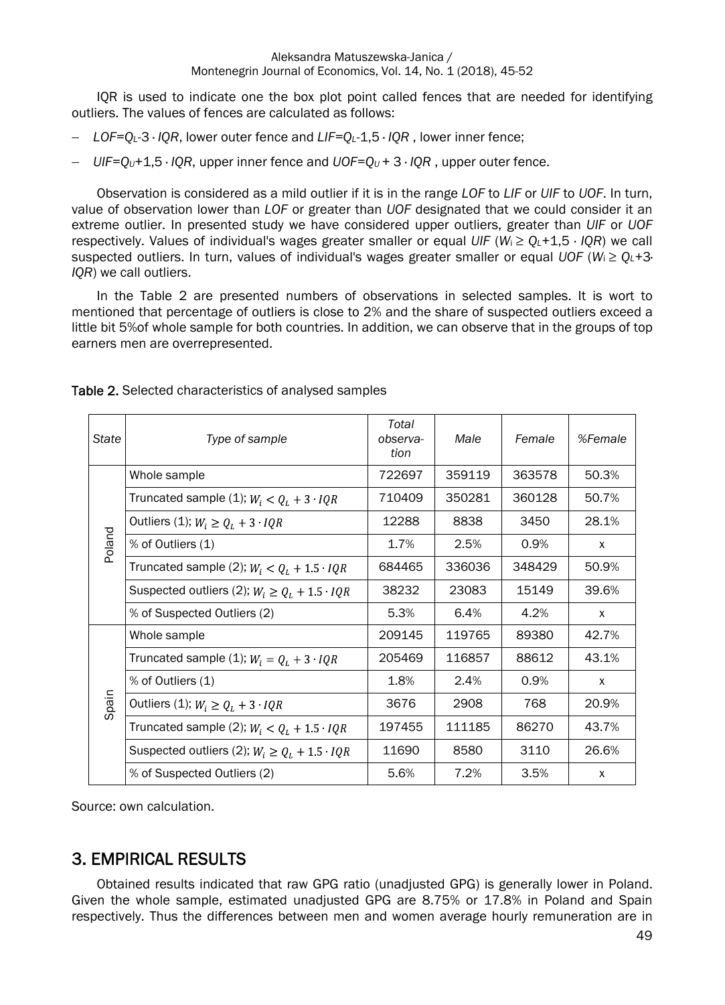IQR is used to indicate one the box plot point called fences that are needed for identifying outliers. The values of fences are calculated as follows:

- *LOF=QL-*3 · *IQR*, lower outer fence and *LIF=QL-*1,5 · *IQR* , lower inner fence;
- *UIF=QU+*1,5 · *IQR*, upper inner fence and *UOF=QU +* 3 · *IQR* , upper outer fence.

Observation isconsidered as a mild outlier if it is in the range *LOF* to *LIF* or *UIF* to *UOF*. In turn, value of observation lower than *LOF* or greater than *UOF* designated that we could consider it an extreme outlier. In presented study we have considered upper outliers, greater than *UIF* or *UOF* respectively. Values of individual's wages greater smaller or equal *UIF* (*W*i ≥ *QL+*1,5 · *IQR*) we call suspected outliers. In turn, values of individual's wages greater smaller or equal *UOF* (*W*i ≥ *QL+*3· *IQR*) we call outliers.

In the Table 2 are presented numbers of observations in selected samples. It is wort to mentioned that percentage of outliers is close to 2% and the share of suspected outliers exceed a little bit 5%of whole sample for both countries. In addition, we can observe that in the groups of top earners men are overrepresented.

| State  | Type of sample                                        | Total<br>observa-<br>tion | Male   | Female | %Female |
|--------|-------------------------------------------------------|---------------------------|--------|--------|---------|
| Poland | Whole sample                                          | 722697                    | 359119 | 363578 | 50.3%   |
|        | Truncated sample (1); $W_i < Q_i + 3$ IQR             | 710409                    | 350281 | 360128 | 50.7%   |
|        | Outliers (1); $W_i \ge Q_L + 3$ <i>IQR</i>            | 12288                     | 8838   | 3450   | 28.1%   |
|        | % of Outliers (1)                                     | 1.7%                      | 2.5%   | 0.9%   | X       |
|        | Truncated sample (2); $W_i < Q_i + 1.5$ <i>IQR</i>    | 684465                    | 336036 | 348429 | 50.9%   |
|        | Suspected outliers (2); $W_i \ge Q_L + 1.5 \cdot IQR$ | 38232                     | 23083  | 15149  | 39.6%   |
|        | % of Suspected Outliers (2)                           | 5.3%                      | 6.4%   | 4.2%   | X       |
|        | Whole sample                                          | 209145                    | 119765 | 89380  | 42.7%   |
|        | Truncated sample (1); $W_i = Q_L + 3 \cdot IQR$       | 205469                    | 116857 | 88612  | 43.1%   |
| Spain  | % of Outliers (1)                                     | 1.8%                      | 2.4%   | 0.9%   | X       |
|        | Outliers (1); $W_i \ge Q_L + 3$ <i>IQR</i>            | 3676                      | 2908   | 768    | 20.9%   |
|        | Truncated sample (2); $W_i < Q_L + 1.5 \cdot IQR$     | 197455                    | 111185 | 86270  | 43.7%   |
|        | Suspected outliers (2); $W_i \ge Q_L + 1.5 \cdot IQR$ | 11690                     | 8580   | 3110   | 26.6%   |
|        | % of Suspected Outliers (2)                           | 5.6%                      | 7.2%   | 3.5%   | X       |

Source: own calculation.

### 3. EMPIRICAL RESULTS

Obtained results indicated that raw GPG ratio (unadjusted GPG) is generally lower in Poland. Given the whole sample, estimated unadjusted GPG are 8.75% or 17.8% in Poland and Spain respectively. Thus the differences between men and women average hourly remuneration are in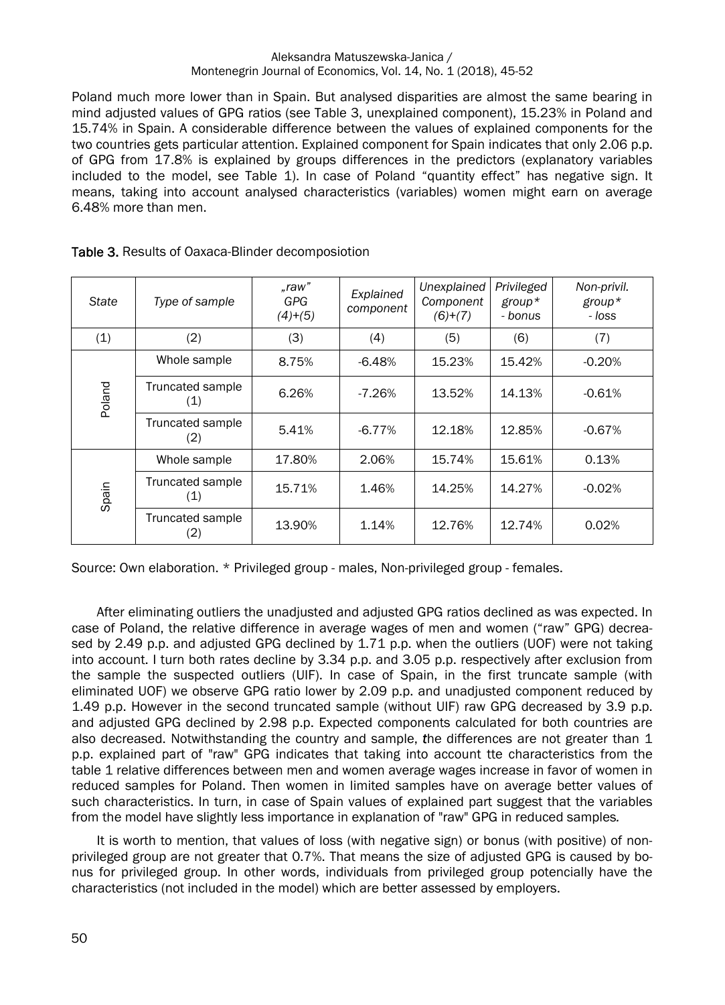#### Aleksandra Matuszewska-Janica / Montenegrin Journal of Economics, Vol. 14, No. 1 (2018), 45-52

Poland much more lower than in Spain. But analysed disparities are almost the same bearing in mind adjusted values of GPG ratios (see Table 3, unexplained component), 15.23% in Poland and 15.74% in Spain. A considerabledifference between the values of explained components for the two countries gets particular attention. Explained component for Spain indicates that only 2.06 p.p. of GPG from 17.8% is explained by groups differences in the predictors (explanatory variables included to the model, see Table 1). In case of Poland "quantity effect" has negative sign. It means, taking into account analysed characteristics (variables) women might earn on average 6.48% more than men.

| State  | Type of sample          | .raw"<br>GPG<br>$(4)+(5)$ | Explained<br>component | Unexplained<br>Component<br>$(6)+(7)$ | Privileged<br>$group*$<br>- bonus | Non-privil.<br>$group*$<br>- loss |
|--------|-------------------------|---------------------------|------------------------|---------------------------------------|-----------------------------------|-----------------------------------|
| (1)    | (2)                     | (3)                       | (4)                    | (5)                                   | (6)                               | (7)                               |
|        | Whole sample            | 8.75%                     | $-6.48%$               | 15.23%                                | 15.42%                            | $-0.20%$                          |
| Poland | Truncated sample<br>(1) | 6.26%                     | $-7.26%$               | 13.52%                                | 14.13%                            | $-0.61%$                          |
|        | Truncated sample<br>(2) | 5.41%                     | $-6.77%$               | 12.18%                                | 12.85%                            | $-0.67%$                          |
|        | Whole sample            | 17.80%                    | 2.06%                  | 15.74%                                | 15.61%                            | 0.13%                             |
| Spain  | Truncated sample<br>(1) | 15.71%                    | 1.46%                  | 14.25%                                | 14.27%                            | $-0.02%$                          |
|        | Truncated sample<br>(2) | 13.90%                    | 1.14%                  | 12.76%                                | 12.74%                            | 0.02%                             |

Table 3. Results of Oaxaca-Blinder decomposiotion

Source: Own elaboration. \* Privileged group - males, Non-privileged group - females.

After eliminating outliers the unadjusted and adjusted GPG ratios declined as was expected. In case of Poland, the relative difference in average wages of men and women ("raw" GPG) decreased by 2.49 p.p. and adjusted GPG declined by 1.71 p.p. when the outliers (UOF) were not taking into account. I turn both rates decline by 3.34 p.p. and 3.05 p.p. respectively after exclusion from the sample the suspected outliers (UIF). In case of Spain, in the first truncate sample (with eliminated UOF) we observe GPG ratio lower by 2.09 p.p. and unadjusted component reduced by 1.49 p.p. However in the second truncated sample (without UIF) raw GPG decreased by 3.9 p.p. and adjusted GPG declined by 2.98 p.p. Expected components calculated for both countries are also decreased. Notwithstanding the country and sample, *t*he differences are not greater than 1 p.p. explained part of "raw" GPG indicates that taking into account tte characteristics from the table 1 relative differences between men and women average wages increase in favor of women in reduced samples for Poland. Then women in limited samples have on average better values of such characteristics. In turn, in case of Spain values of explained part suggest that the variables from the model have slightly less importance in explanation of "raw" GPG in reduced samples*.* 

It is worth to mention, that values of loss (with negative sign) or bonus (with positive) of nonprivileged group are not greater that 0.7%. That means the size of adjusted GPG is caused by bonus for privileged group. In other words, individuals from privileged group potencially have the characteristics (not included in the model) which are better assessed by employers.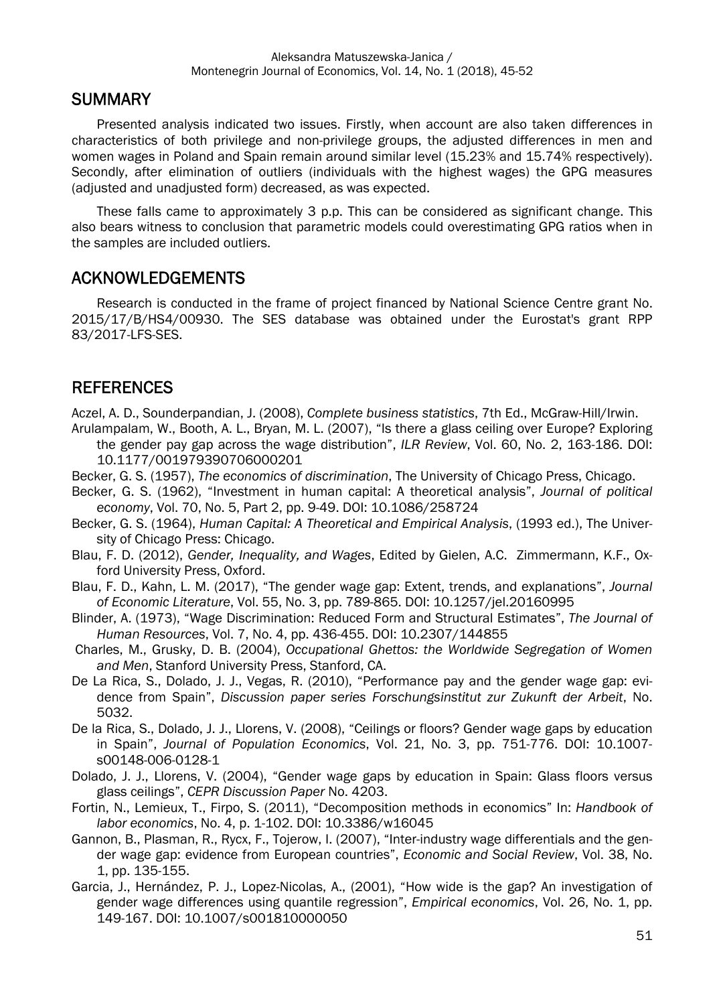#### **SUMMARY**

Presented analysis indicated two issues. Firstly, when account are also taken differences in characteristics of both privilege and non-privilege groups, the adjusted differences in men and women wages in Poland and Spain remain around similar level (15.23% and 15.74% respectively). Secondly, after elimination of outliers (individuals with the highest wages) the GPG measures (adjusted and unadjusted form) decreased, as was expected.

These falls came to approximately 3 p.p. This can be considered as significant change. This also bears witness to conclusion that parametric models could overestimating GPG ratios when in the samples are included outliers.

#### ACKNOWLEDGEMENTS

Research is conducted in the frame of project financed by National Science Centre grant No. 2015/17/B/HS4/00930. The SES database was obtained under the Eurostat's grant RPP 83/2017-LFS-SES.

## **REFERENCES**

Aczel, A. D., Sounderpandian, J. (2008), *Complete business statistics*, 7th Ed., McGraw-Hill/Irwin.

- Arulampalam, W., Booth, A. L., Bryan, M. L. (2007), "Is there a glass ceiling over Europe? Exploring the gender pay gap across the wage distribution", *ILR Review*, Vol. 60, No. 2, 163-186. DOI: 10.1177/001979390706000201
- Becker, G. S. (1957), *The economics of discrimination*, The University of Chicago Press, Chicago.
- Becker, G. S. (1962), "Investment in human capital: A theoretical analysis", *Journal of political economy*, Vol. 70, No. 5, Part 2, pp. 9-49. DOI: 10.1086/258724
- Becker, G. S. (1964), *Human Capital: A Theoretical and Empirical Analysis*, (1993 ed.), The University of Chicago Press: Chicago.
- Blau, F. D. (2012), *Gender, Inequality, and Wages*, Edited by Gielen, A.C. Zimmermann, K.F., Oxford University Press, Oxford.
- Blau, F. D., Kahn, L. M. (2017), "The gender wage gap: Extent, trends, and explanations", *Journal of Economic Literature*, Vol. 55, No. 3, pp. 789-865. DOI: 10.1257/jel.20160995
- Blinder, A. (1973), "Wage Discrimination: Reduced Form and Structural Estimates", *The Journal of Human Resources*, Vol. 7, No. 4, pp. 436-455. DOI: 10.2307/144855
- Charles, M., Grusky, D. B. (2004), *Occupational Ghettos: the Worldwide Segregation of Women and Men*, Stanford University Press, Stanford, CA.
- De La Rica, S., Dolado, J. J., Vegas, R. (2010), "Performance pay and the gender wage gap: evidence from Spain", *Discussion paper series Forschungsinstitut zur Zukunft der Arbeit*, No. 5032.
- De la Rica, S., Dolado, J. J., Llorens, V. (2008), "Ceilings or floors? Gender wage gaps by education in Spain", *Journal of Population Economics*, Vol. 21, No. 3, pp. 751-776. DOI: 10.1007 s00148-006-0128-1
- Dolado, J. J., Llorens, V. (2004), "Gender wage gaps by education in Spain: Glass floors versus glass ceilings", *CEPR Discussion Paper* No. 4203.
- Fortin, N., Lemieux, T., Firpo, S. (2011), "Decomposition methods in economics" In: *Handbook of labor economics*, No. 4, p. 1-102. DOI: 10.3386/w16045
- Gannon, B., Plasman, R., Rycx, F., Tojerow, I. (2007), "Inter-industry wage differentials and the gender wage gap: evidence from European countries", *Economic and Social Review*, Vol. 38, No. 1, pp. 135-155.
- Garcia, J., Hernández, P. J., Lopez-Nicolas, A., (2001), "How wide is the gap? An investigation of gender wage differences using quantile regression", *Empirical economics*, Vol. 26, No. 1, pp. 149-167. DOI: 10.1007/s001810000050